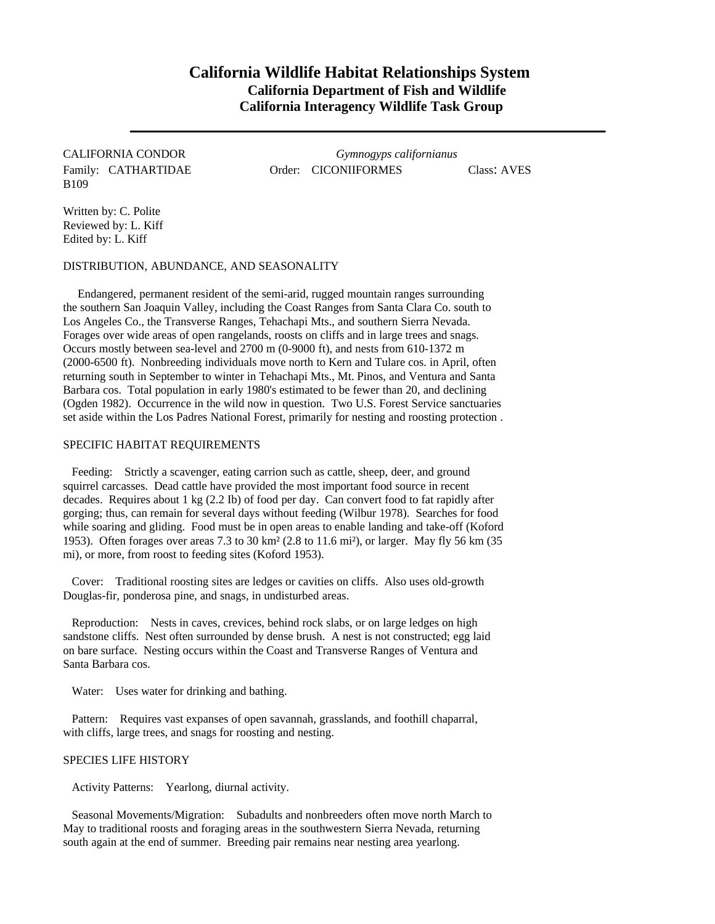## **California Wildlife Habitat Relationships System California Department of Fish and Wildlife California Interagency Wildlife Task Group**

B109

CALIFORNIA CONDOR *Gymnogyps californianus* Family: CATHARTIDAE Order: CICONIIFORMES Class: AVES

Written by: C. Polite Reviewed by: L. Kiff Edited by: L. Kiff

DISTRIBUTION, ABUNDANCE, AND SEASONALITY

Endangered, permanent resident of the semi-arid, rugged mountain ranges surrounding the southern San Joaquin Valley, including the Coast Ranges from Santa Clara Co. south to Los Angeles Co., the Transverse Ranges, Tehachapi Mts., and southern Sierra Nevada. Forages over wide areas of open rangelands, roosts on cliffs and in large trees and snags. Occurs mostly between sea-level and 2700 m (0-9000 ft), and nests from 610-1372 m (2000-6500 ft). Nonbreeding individuals move north to Kern and Tulare cos. in April, often returning south in September to winter in Tehachapi Mts., Mt. Pinos, and Ventura and Santa Barbara cos. Total population in early 1980's estimated to be fewer than 20, and declining (Ogden 1982). Occurrence in the wild now in question. Two U.S. Forest Service sanctuaries set aside within the Los Padres National Forest, primarily for nesting and roosting protection .

## SPECIFIC HABITAT REQUIREMENTS

Feeding: Strictly a scavenger, eating carrion such as cattle, sheep, deer, and ground squirrel carcasses. Dead cattle have provided the most important food source in recent decades. Requires about 1 kg (2.2 Ib) of food per day. Can convert food to fat rapidly after gorging; thus, can remain for several days without feeding (Wilbur 1978). Searches for food while soaring and gliding. Food must be in open areas to enable landing and take-off (Koford 1953). Often forages over areas 7.3 to 30 km<sup>2</sup> (2.8 to 11.6 mi<sup>2</sup>), or larger. May fly 56 km (35) mi), or more, from roost to feeding sites (Koford 1953).

Cover: Traditional roosting sites are ledges or cavities on cliffs. Also uses old-growth Douglas-fir, ponderosa pine, and snags, in undisturbed areas.

Reproduction: Nests in caves, crevices, behind rock slabs, or on large ledges on high sandstone cliffs. Nest often surrounded by dense brush. A nest is not constructed; egg laid on bare surface. Nesting occurs within the Coast and Transverse Ranges of Ventura and Santa Barbara cos.

Water: Uses water for drinking and bathing.

Pattern: Requires vast expanses of open savannah, grasslands, and foothill chaparral, with cliffs, large trees, and snags for roosting and nesting.

## SPECIES LIFE HISTORY

Activity Patterns: Yearlong, diurnal activity.

Seasonal Movements/Migration: Subadults and nonbreeders often move north March to May to traditional roosts and foraging areas in the southwestern Sierra Nevada, returning south again at the end of summer. Breeding pair remains near nesting area yearlong.